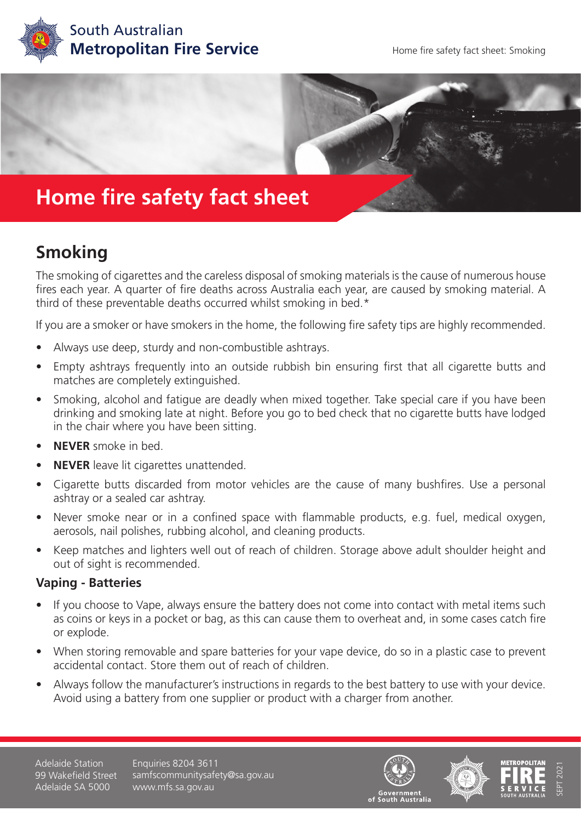



## **Home fire safety fact sheet**

## **Smoking**

The smoking of cigarettes and the careless disposal of smoking materials is the cause of numerous house fires each year. A quarter of fire deaths across Australia each year, are caused by smoking material. A third of these preventable deaths occurred whilst smoking in bed.\*

If you are a smoker or have smokers in the home, the following fire safety tips are highly recommended.

- Always use deep, sturdy and non-combustible ashtrays.
- Empty ashtrays frequently into an outside rubbish bin ensuring first that all cigarette butts and matches are completely extinguished.
- Smoking, alcohol and fatigue are deadly when mixed together. Take special care if you have been drinking and smoking late at night. Before you go to bed check that no cigarette butts have lodged in the chair where you have been sitting.
- **• NEVER** smoke in bed.
- **• NEVER** leave lit cigarettes unattended.
- Cigarette butts discarded from motor vehicles are the cause of many bushfires. Use a personal ashtray or a sealed car ashtray.
- Never smoke near or in a confined space with flammable products, e.g. fuel, medical oxygen, aerosols, nail polishes, rubbing alcohol, and cleaning products.
- Keep matches and lighters well out of reach of children. Storage above adult shoulder height and out of sight is recommended.

## **Vaping - Batteries**

- If you choose to Vape, always ensure the battery does not come into contact with metal items such as coins or keys in a pocket or bag, as this can cause them to overheat and, in some cases catch fire or explode.
- When storing removable and spare batteries for your vape device, do so in a plastic case to prevent accidental contact. Store them out of reach of children.
- Always follow the manufacturer's instructions in regards to the best battery to use with your device. Avoid using a battery from one supplier or product with a charger from another.

Adelaide Station 99 Wakefield Street Adelaide SA 5000

Enquiries 8204 3611 samfscommunitysafety@sa.gov.au www.mfs.sa.gov.au







SEPT 2021